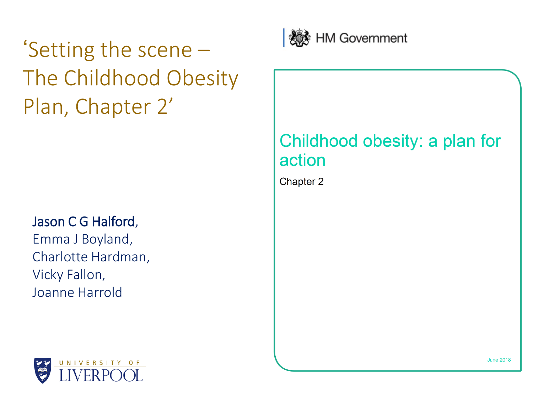'Setting the scene – The Childhood Obesity Plan, Chapter 2'

### Jason C G Halford,

Emma J Boyland, Charlotte Hardman, Vicky Fallon, Joanne Harrold



### Childhood obesity: a plan for action

Chapter 2



**June 2018**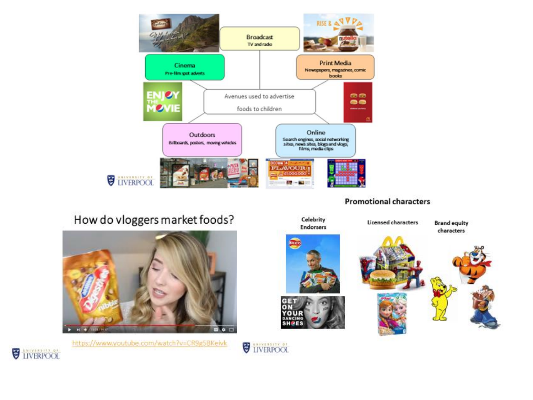

#### **Promotional characters**





https://www.youtube.com/watch?v=CR9g5BKeivk

**UNERPOOL**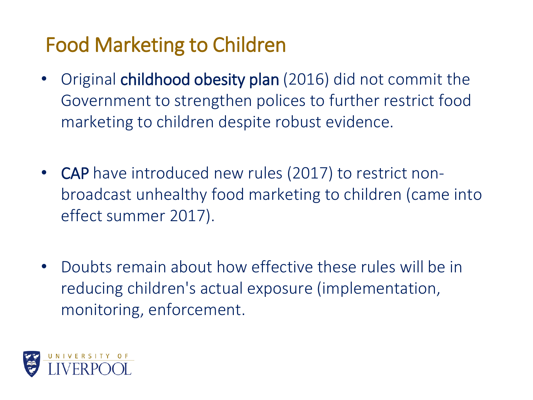## Food Marketing to Children

- Original childhood obesity plan (2016) did not commit the Government to strengthen polices to further restrict food marketing to children despite robust evidence.
- CAP have introduced new rules (2017) to restrict nonbroadcast unhealthy food marketing to children (came into effect summer 2017).
- Doubts remain about how effective these rules will be in reducing children's actual exposure (implementation, monitoring, enforcement.

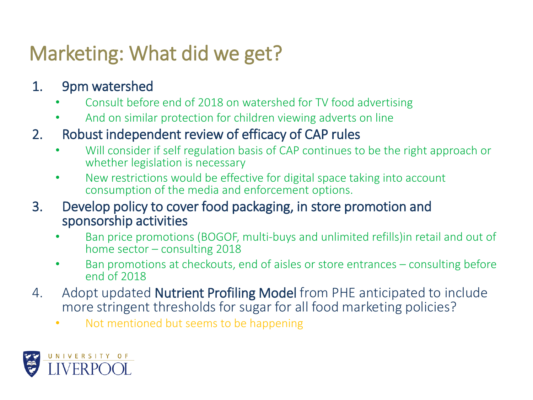## Marketing: What did we get?

### 1. 9pm watershed

- Consult before end of 2018 on watershed for TV food advertising
- And on similar protection for children viewing adverts on line

### 2. Robust independent review of efficacy of CAP rules

- Will consider if self regulation basis of CAP continues to be the right approach or whether legislation is necessary
- New restrictions would be effective for digital space taking into account consumption of the media and enforcement options.
- 3. Develop policy to cover food packaging, in store promotion and sponsorship activities
	- Ban price promotions (BOGOF, multi-buys and unlimited refills)in retail and out of home sector – consulting 2018
	- Ban promotions at checkouts, end of aisles or store entrances consulting before end of 2018
- 4. Adopt updated **Nutrient Profiling Model** from PHE anticipated to include more stringent thresholds for sugar for all food marketing policies?
	- Not mentioned but seems to be happening

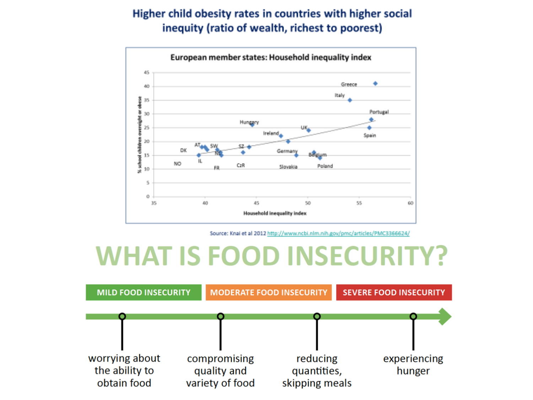#### Higher child obesity rates in countries with higher social inequity (ratio of wealth, richest to poorest)



Source: Knai et al 2012 http://www.ncbi.nlm.nih.gov/pmc/articles/PMC3366624/

# **WHAT IS FOOD INSECURITY?**

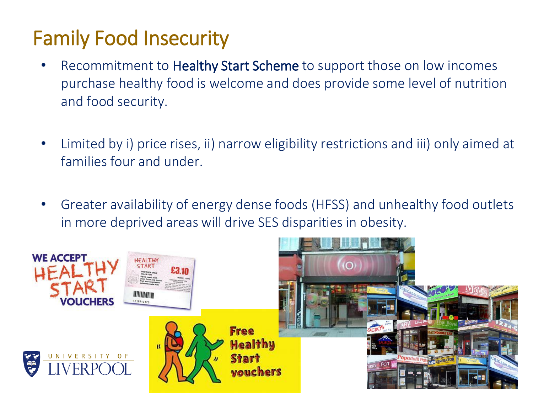## Family Food Insecurity

- Recommitment to Healthy Start Scheme to support those on low incomes purchase healthy food is welcome and does provide some level of nutrition and food security.
- Limited by i) price rises, ii) narrow eligibility restrictions and iii) only aimed at families four and under.
- Greater availability of energy dense foods (HFSS) and unhealthy food outlets in more deprived areas will drive SES disparities in obesity.

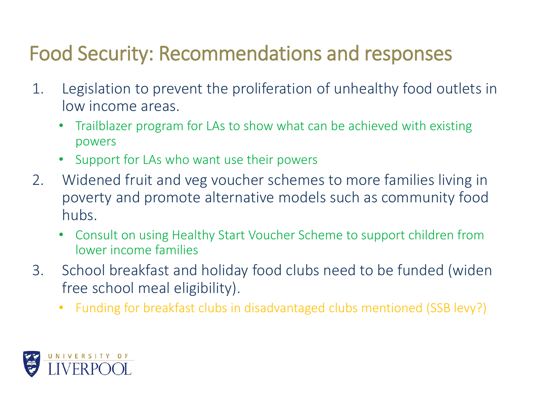## Food Security: Recommendations and responses

- 1. Legislation to prevent the proliferation of unhealthy food outlets in low income areas.
	- Trailblazer program for LAs to show what can be achieved with existing powers
	- Support for LAs who want use their powers
- 2. Widened fruit and veg voucher schemes to more families living in poverty and promote alternative models such as community food hubs.
	- Consult on using Healthy Start Voucher Scheme to support children from lower income families
- 3. School breakfast and holiday food clubs need to be funded (widen free school meal eligibility).
	- Funding for breakfast clubs in disadvantaged clubs mentioned (SSB levy?)

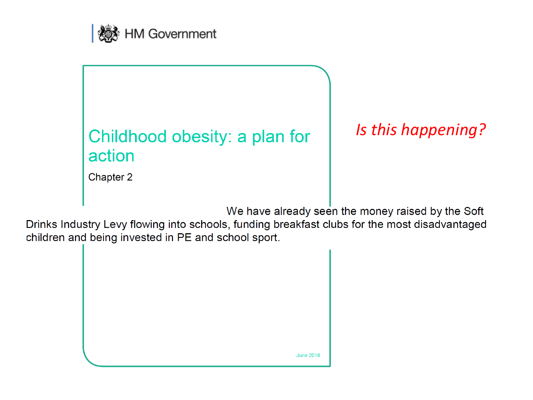



### Is this happening?

Chapter 2

We have already seen the money raised by the Soft

Drinks Industry Levy flowing into schools, funding breakfast clubs for the most disadvantaged children and being invested in PE and school sport.

| <b>June 2018</b> |
|------------------|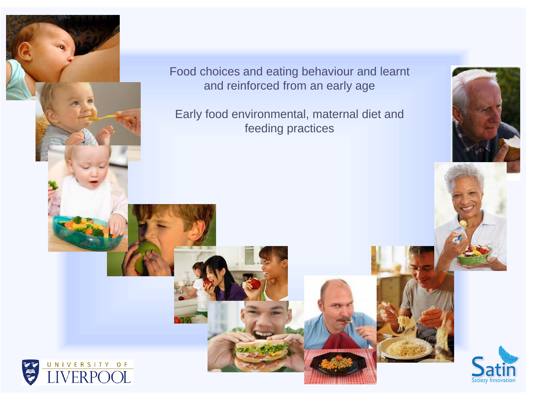

**AP** 

Food choices and eating behaviour and learnt and reinforced from an early age

Early food environmental, maternal diet and feeding practices



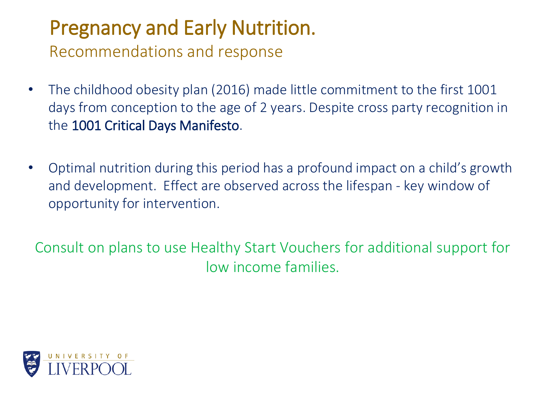## Pregnancy and Early Nutrition. Recommendations and response

- The childhood obesity plan (2016) made little commitment to the first 1001 days from conception to the age of 2 years. Despite cross party recognition in the 1001 Critical Days Manifesto.
- Optimal nutrition during this period has a profound impact on a child's growth and development. Effect are observed across the lifespan - key window of opportunity for intervention.

Consult on plans to use Healthy Start Vouchers for additional support for low income families.

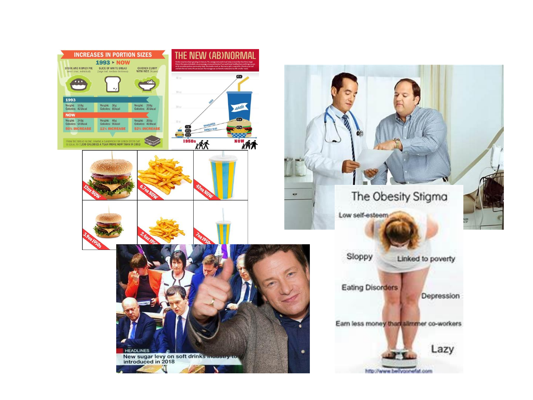